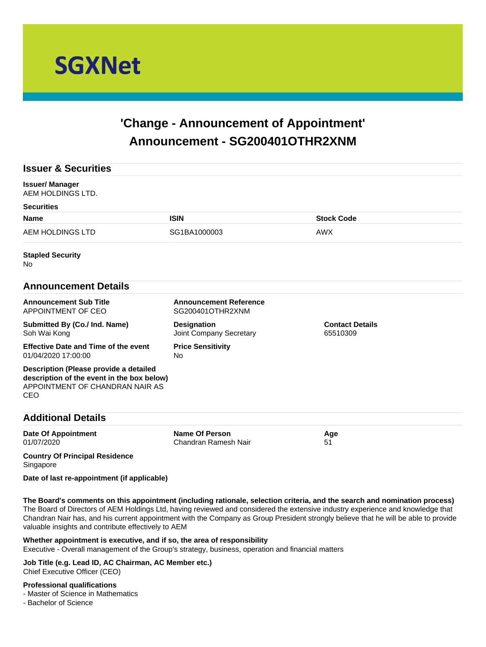

# **'Change - Announcement of Appointment' Announcement - SG200401OTHR2XNM**

| <b>Issuer &amp; Securities</b>                                                                                                 |                                                   |                                    |
|--------------------------------------------------------------------------------------------------------------------------------|---------------------------------------------------|------------------------------------|
| <b>Issuer/Manager</b><br>AEM HOLDINGS LTD.                                                                                     |                                                   |                                    |
| <b>Securities</b>                                                                                                              |                                                   |                                    |
| <b>Name</b>                                                                                                                    | <b>ISIN</b>                                       | <b>Stock Code</b>                  |
| <b>AEM HOLDINGS LTD</b>                                                                                                        | SG1BA1000003                                      | <b>AWX</b>                         |
| <b>Stapled Security</b><br>No                                                                                                  |                                                   |                                    |
| <b>Announcement Details</b>                                                                                                    |                                                   |                                    |
| <b>Announcement Sub Title</b><br>APPOINTMENT OF CEO                                                                            | <b>Announcement Reference</b><br>SG200401OTHR2XNM |                                    |
| Submitted By (Co./ Ind. Name)<br>Soh Wai Kong                                                                                  | <b>Designation</b><br>Joint Company Secretary     | <b>Contact Details</b><br>65510309 |
| <b>Effective Date and Time of the event</b><br>01/04/2020 17:00:00                                                             | <b>Price Sensitivity</b><br><b>No</b>             |                                    |
| Description (Please provide a detailed<br>description of the event in the box below)<br>APPOINTMENT OF CHANDRAN NAIR AS<br>CEO |                                                   |                                    |
| <b>Additional Details</b>                                                                                                      |                                                   |                                    |
| <b>Date Of Appointment</b><br>01/07/2020                                                                                       | <b>Name Of Person</b><br>Chandran Ramesh Nair     | Age<br>51                          |
| <b>Country Of Principal Residence</b><br>Singapore                                                                             |                                                   |                                    |

**Date of last re-appointment (if applicable)**

**The Board's comments on this appointment (including rationale, selection criteria, and the search and nomination process)** The Board of Directors of AEM Holdings Ltd, having reviewed and considered the extensive industry experience and knowledge that Chandran Nair has, and his current appointment with the Company as Group President strongly believe that he will be able to provide valuable insights and contribute effectively to AEM

**Whether appointment is executive, and if so, the area of responsibility**

Executive - Overall management of the Group's strategy, business, operation and financial matters

**Job Title (e.g. Lead ID, AC Chairman, AC Member etc.)** Chief Executive Officer (CEO)

# **Professional qualifications**

- Master of Science in Mathematics

- Bachelor of Science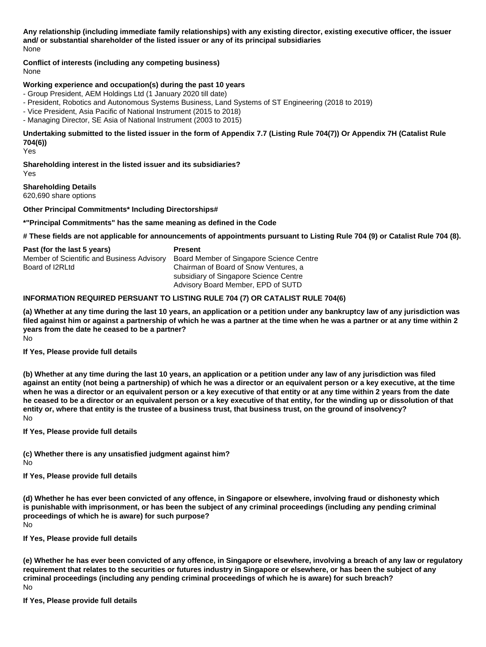**Any relationship (including immediate family relationships) with any existing director, existing executive officer, the issuer and/ or substantial shareholder of the listed issuer or any of its principal subsidiaries** None

**Conflict of interests (including any competing business)**

None

### **Working experience and occupation(s) during the past 10 years**

- Group President, AEM Holdings Ltd (1 January 2020 till date)

- President, Robotics and Autonomous Systems Business, Land Systems of ST Engineering (2018 to 2019)
- Vice President, Asia Pacific of National Instrument (2015 to 2018)
- Managing Director, SE Asia of National Instrument (2003 to 2015)

**Undertaking submitted to the listed issuer in the form of Appendix 7.7 (Listing Rule 704(7)) Or Appendix 7H (Catalist Rule 704(6))**

Yes

**Shareholding interest in the listed issuer and its subsidiaries?** Yes

#### **Shareholding Details**

620,690 share options

#### **Other Principal Commitments\* Including Directorships#**

#### **\*"Principal Commitments" has the same meaning as defined in the Code**

**# These fields are not applicable for announcements of appointments pursuant to Listing Rule 704 (9) or Catalist Rule 704 (8).**

| Past (for the last 5 years)                | <b>Present</b>                           |
|--------------------------------------------|------------------------------------------|
| Member of Scientific and Business Advisory | Board Member of Singapore Science Centre |
| Board of I2RLtd                            | Chairman of Board of Snow Ventures, a    |
|                                            | subsidiary of Singapore Science Centre   |
|                                            | Advisory Board Member, EPD of SUTD       |

#### **INFORMATION REQUIRED PERSUANT TO LISTING RULE 704 (7) OR CATALIST RULE 704(6)**

**(a) Whether at any time during the last 10 years, an application or a petition under any bankruptcy law of any jurisdiction was filed against him or against a partnership of which he was a partner at the time when he was a partner or at any time within 2 years from the date he ceased to be a partner?** No

#### **If Yes, Please provide full details**

**(b) Whether at any time during the last 10 years, an application or a petition under any law of any jurisdiction was filed against an entity (not being a partnership) of which he was a director or an equivalent person or a key executive, at the time when he was a director or an equivalent person or a key executive of that entity or at any time within 2 years from the date he ceased to be a director or an equivalent person or a key executive of that entity, for the winding up or dissolution of that entity or, where that entity is the trustee of a business trust, that business trust, on the ground of insolvency?** No

**If Yes, Please provide full details**

**(c) Whether there is any unsatisfied judgment against him?** No

**If Yes, Please provide full details**

**(d) Whether he has ever been convicted of any offence, in Singapore or elsewhere, involving fraud or dishonesty which is punishable with imprisonment, or has been the subject of any criminal proceedings (including any pending criminal proceedings of which he is aware) for such purpose?** No

**If Yes, Please provide full details**

**(e) Whether he has ever been convicted of any offence, in Singapore or elsewhere, involving a breach of any law or regulatory requirement that relates to the securities or futures industry in Singapore or elsewhere, or has been the subject of any criminal proceedings (including any pending criminal proceedings of which he is aware) for such breach?** No

**If Yes, Please provide full details**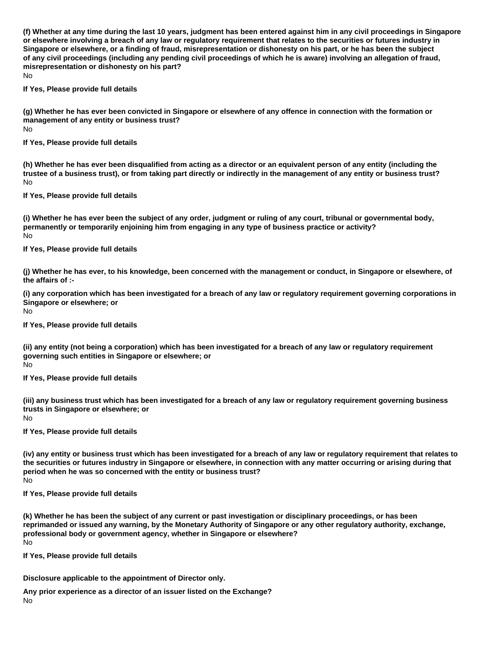**(f) Whether at any time during the last 10 years, judgment has been entered against him in any civil proceedings in Singapore or elsewhere involving a breach of any law or regulatory requirement that relates to the securities or futures industry in Singapore or elsewhere, or a finding of fraud, misrepresentation or dishonesty on his part, or he has been the subject of any civil proceedings (including any pending civil proceedings of which he is aware) involving an allegation of fraud, misrepresentation or dishonesty on his part?**

No

**If Yes, Please provide full details**

**(g) Whether he has ever been convicted in Singapore or elsewhere of any offence in connection with the formation or management of any entity or business trust?**

No

**If Yes, Please provide full details**

**(h) Whether he has ever been disqualified from acting as a director or an equivalent person of any entity (including the trustee of a business trust), or from taking part directly or indirectly in the management of any entity or business trust?** No

**If Yes, Please provide full details**

**(i) Whether he has ever been the subject of any order, judgment or ruling of any court, tribunal or governmental body, permanently or temporarily enjoining him from engaging in any type of business practice or activity?** No

**If Yes, Please provide full details**

**(j) Whether he has ever, to his knowledge, been concerned with the management or conduct, in Singapore or elsewhere, of the affairs of :-**

**(i) any corporation which has been investigated for a breach of any law or regulatory requirement governing corporations in Singapore or elsewhere; or**

No

**If Yes, Please provide full details**

**(ii) any entity (not being a corporation) which has been investigated for a breach of any law or regulatory requirement governing such entities in Singapore or elsewhere; or** No

**If Yes, Please provide full details**

**(iii) any business trust which has been investigated for a breach of any law or regulatory requirement governing business trusts in Singapore or elsewhere; or** No

**If Yes, Please provide full details**

**(iv) any entity or business trust which has been investigated for a breach of any law or regulatory requirement that relates to the securities or futures industry in Singapore or elsewhere, in connection with any matter occurring or arising during that period when he was so concerned with the entity or business trust?** No

**If Yes, Please provide full details**

**(k) Whether he has been the subject of any current or past investigation or disciplinary proceedings, or has been reprimanded or issued any warning, by the Monetary Authority of Singapore or any other regulatory authority, exchange, professional body or government agency, whether in Singapore or elsewhere?** No

**If Yes, Please provide full details**

**Disclosure applicable to the appointment of Director only.**

**Any prior experience as a director of an issuer listed on the Exchange?** No